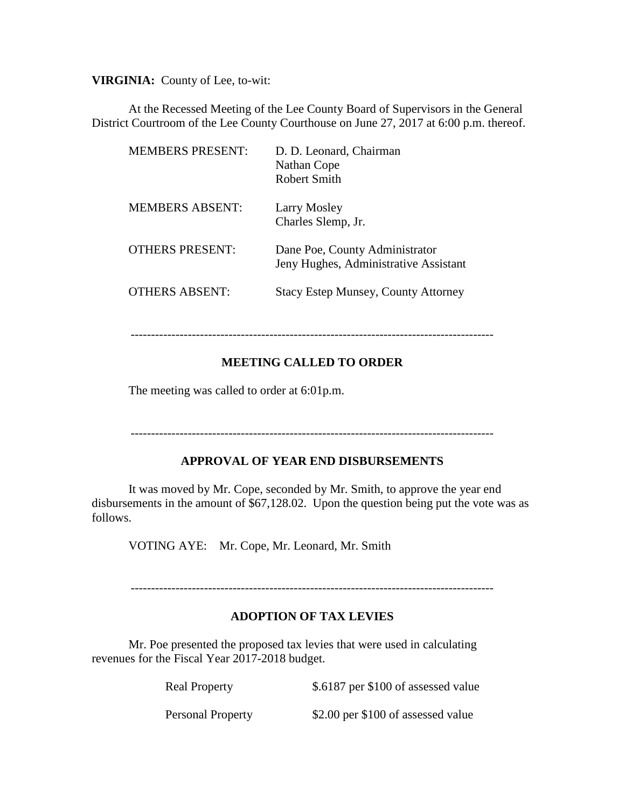**VIRGINIA:** County of Lee, to-wit:

At the Recessed Meeting of the Lee County Board of Supervisors in the General District Courtroom of the Lee County Courthouse on June 27, 2017 at 6:00 p.m. thereof.

| <b>MEMBERS PRESENT:</b> | D. D. Leonard, Chairman<br>Nathan Cope<br>Robert Smith                  |
|-------------------------|-------------------------------------------------------------------------|
| <b>MEMBERS ABSENT:</b>  | Larry Mosley<br>Charles Slemp, Jr.                                      |
| <b>OTHERS PRESENT:</b>  | Dane Poe, County Administrator<br>Jeny Hughes, Administrative Assistant |
| <b>OTHERS ABSENT:</b>   | <b>Stacy Estep Munsey, County Attorney</b>                              |

-----------------------------------------------------------------------------------------

## **MEETING CALLED TO ORDER**

The meeting was called to order at 6:01p.m.

-----------------------------------------------------------------------------------------

## **APPROVAL OF YEAR END DISBURSEMENTS**

It was moved by Mr. Cope, seconded by Mr. Smith, to approve the year end disbursements in the amount of \$67,128.02. Upon the question being put the vote was as follows.

VOTING AYE: Mr. Cope, Mr. Leonard, Mr. Smith

-----------------------------------------------------------------------------------------

## **ADOPTION OF TAX LEVIES**

Mr. Poe presented the proposed tax levies that were used in calculating revenues for the Fiscal Year 2017-2018 budget.

| <b>Real Property</b>     | \$.6187 per \$100 of assessed value |
|--------------------------|-------------------------------------|
| <b>Personal Property</b> | \$2.00 per \$100 of assessed value  |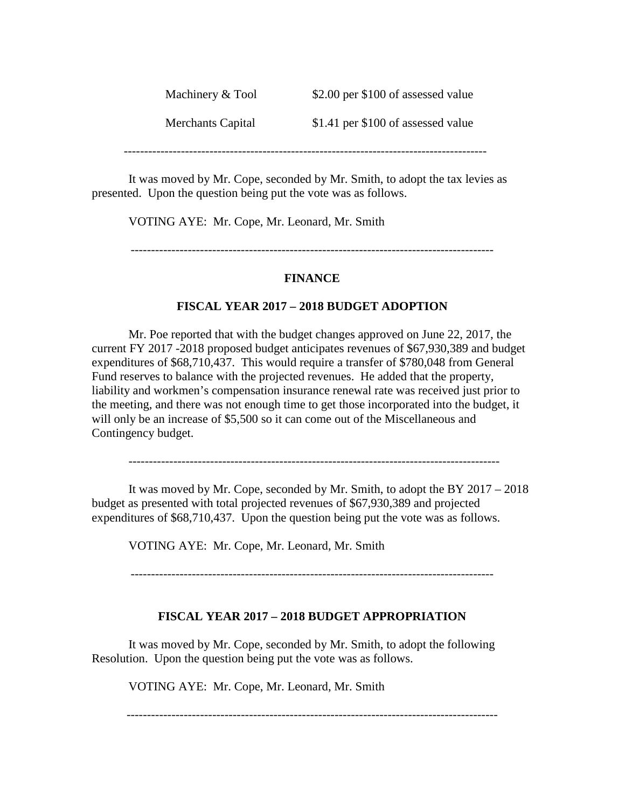| Machinery & Tool  | \$2.00 per \$100 of assessed value |
|-------------------|------------------------------------|
| Merchants Capital | \$1.41 per \$100 of assessed value |

-----------------------------------------------------------------------------------------

It was moved by Mr. Cope, seconded by Mr. Smith, to adopt the tax levies as presented. Upon the question being put the vote was as follows.

VOTING AYE: Mr. Cope, Mr. Leonard, Mr. Smith

-----------------------------------------------------------------------------------------

#### **FINANCE**

#### **FISCAL YEAR 2017 – 2018 BUDGET ADOPTION**

Mr. Poe reported that with the budget changes approved on June 22, 2017, the current FY 2017 -2018 proposed budget anticipates revenues of \$67,930,389 and budget expenditures of \$68,710,437. This would require a transfer of \$780,048 from General Fund reserves to balance with the projected revenues. He added that the property, liability and workmen's compensation insurance renewal rate was received just prior to the meeting, and there was not enough time to get those incorporated into the budget, it will only be an increase of \$5,500 so it can come out of the Miscellaneous and Contingency budget.

-------------------------------------------------------------------------------------------

It was moved by Mr. Cope, seconded by Mr. Smith, to adopt the BY 2017 – 2018 budget as presented with total projected revenues of \$67,930,389 and projected expenditures of \$68,710,437. Upon the question being put the vote was as follows.

VOTING AYE: Mr. Cope, Mr. Leonard, Mr. Smith

-----------------------------------------------------------------------------------------

#### **FISCAL YEAR 2017 – 2018 BUDGET APPROPRIATION**

It was moved by Mr. Cope, seconded by Mr. Smith, to adopt the following Resolution. Upon the question being put the vote was as follows.

VOTING AYE: Mr. Cope, Mr. Leonard, Mr. Smith

-------------------------------------------------------------------------------------------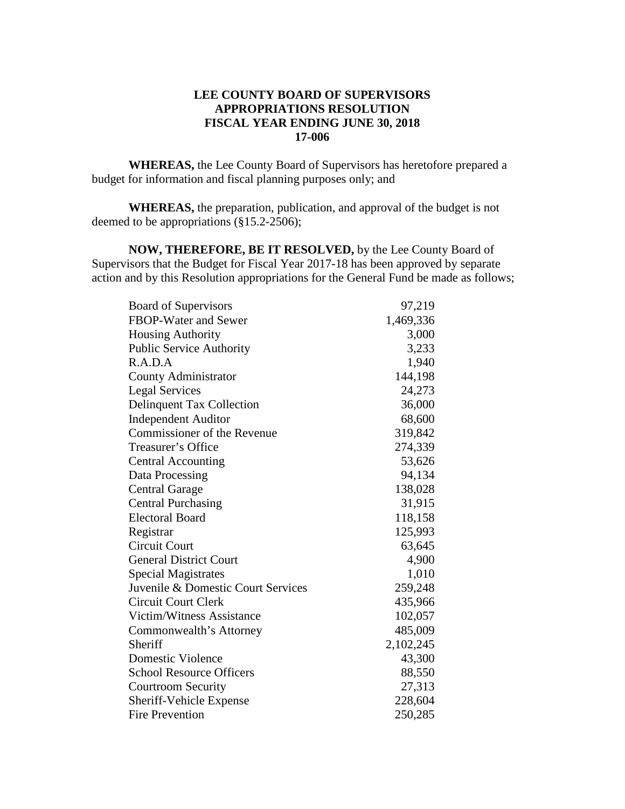## **LEE COUNTY BOARD OF SUPERVISORS APPROPRIATIONS RESOLUTION FISCAL YEAR ENDING JUNE 30, 2018 17-006**

**WHEREAS,** the Lee County Board of Supervisors has heretofore prepared a budget for information and fiscal planning purposes only; and

**WHEREAS,** the preparation, publication, and approval of the budget is not deemed to be appropriations (§15.2-2506);

**NOW, THEREFORE, BE IT RESOLVED,** by the Lee County Board of Supervisors that the Budget for Fiscal Year 2017-18 has been approved by separate action and by this Resolution appropriations for the General Fund be made as follows;

| <b>Board of Supervisors</b>        | 97,219    |
|------------------------------------|-----------|
| FBOP-Water and Sewer               | 1,469,336 |
| <b>Housing Authority</b>           | 3,000     |
| <b>Public Service Authority</b>    | 3,233     |
| R.A.D.A                            | 1,940     |
| <b>County Administrator</b>        | 144,198   |
| <b>Legal Services</b>              | 24,273    |
| <b>Delinquent Tax Collection</b>   | 36,000    |
| <b>Independent Auditor</b>         | 68,600    |
| Commissioner of the Revenue        | 319,842   |
| Treasurer's Office                 | 274,339   |
| <b>Central Accounting</b>          | 53,626    |
| Data Processing                    | 94,134    |
| <b>Central Garage</b>              | 138,028   |
| <b>Central Purchasing</b>          | 31,915    |
| <b>Electoral Board</b>             | 118,158   |
| Registrar                          | 125,993   |
| <b>Circuit Court</b>               | 63,645    |
| <b>General District Court</b>      | 4,900     |
| <b>Special Magistrates</b>         | 1,010     |
| Juvenile & Domestic Court Services | 259,248   |
| Circuit Court Clerk                | 435,966   |
| Victim/Witness Assistance          | 102,057   |
| Commonwealth's Attorney            | 485,009   |
| Sheriff                            | 2,102,245 |
| Domestic Violence                  | 43,300    |
| <b>School Resource Officers</b>    | 88,550    |
| <b>Courtroom Security</b>          | 27,313    |
| Sheriff-Vehicle Expense            | 228,604   |
| <b>Fire Prevention</b>             | 250,285   |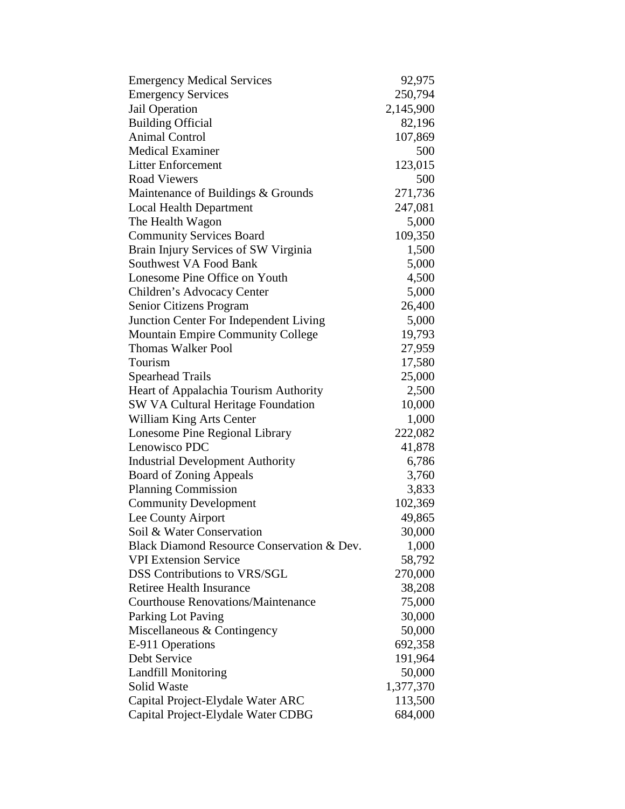| <b>Emergency Medical Services</b>          | 92,975    |
|--------------------------------------------|-----------|
| <b>Emergency Services</b>                  | 250,794   |
| Jail Operation                             | 2,145,900 |
| <b>Building Official</b>                   | 82,196    |
| <b>Animal Control</b>                      | 107,869   |
| <b>Medical Examiner</b>                    | 500       |
| <b>Litter Enforcement</b>                  | 123,015   |
| <b>Road Viewers</b>                        | 500       |
| Maintenance of Buildings & Grounds         | 271,736   |
| <b>Local Health Department</b>             | 247,081   |
| The Health Wagon                           | 5,000     |
| <b>Community Services Board</b>            | 109,350   |
| Brain Injury Services of SW Virginia       | 1,500     |
| Southwest VA Food Bank                     | 5,000     |
| Lonesome Pine Office on Youth              | 4,500     |
| Children's Advocacy Center                 | 5,000     |
| Senior Citizens Program                    | 26,400    |
| Junction Center For Independent Living     | 5,000     |
| <b>Mountain Empire Community College</b>   | 19,793    |
| <b>Thomas Walker Pool</b>                  | 27,959    |
| Tourism                                    | 17,580    |
| <b>Spearhead Trails</b>                    | 25,000    |
| Heart of Appalachia Tourism Authority      | 2,500     |
| <b>SW VA Cultural Heritage Foundation</b>  | 10,000    |
| William King Arts Center                   | 1,000     |
| Lonesome Pine Regional Library             | 222,082   |
| Lenowisco PDC                              | 41,878    |
| <b>Industrial Development Authority</b>    | 6,786     |
| <b>Board of Zoning Appeals</b>             | 3,760     |
| <b>Planning Commission</b>                 | 3,833     |
| <b>Community Development</b>               | 102,369   |
| Lee County Airport                         | 49,865    |
| Soil & Water Conservation                  | 30,000    |
| Black Diamond Resource Conservation & Dev. | 1,000     |
| <b>VPI Extension Service</b>               | 58,792    |
| <b>DSS Contributions to VRS/SGL</b>        | 270,000   |
| <b>Retiree Health Insurance</b>            | 38,208    |
| <b>Courthouse Renovations/Maintenance</b>  | 75,000    |
| Parking Lot Paving                         | 30,000    |
| Miscellaneous & Contingency                | 50,000    |
| E-911 Operations                           | 692,358   |
| Debt Service                               | 191,964   |
| <b>Landfill Monitoring</b>                 | 50,000    |
| Solid Waste                                | 1,377,370 |
| Capital Project-Elydale Water ARC          | 113,500   |
| Capital Project-Elydale Water CDBG         | 684,000   |
|                                            |           |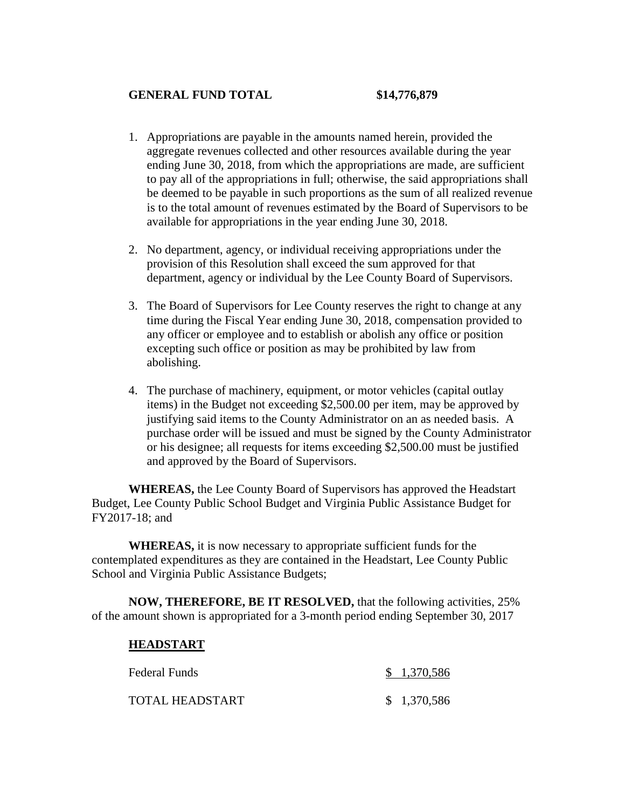## **GENERAL FUND TOTAL \$14,776,879**

- 1. Appropriations are payable in the amounts named herein, provided the aggregate revenues collected and other resources available during the year ending June 30, 2018, from which the appropriations are made, are sufficient to pay all of the appropriations in full; otherwise, the said appropriations shall be deemed to be payable in such proportions as the sum of all realized revenue is to the total amount of revenues estimated by the Board of Supervisors to be available for appropriations in the year ending June 30, 2018.
- 2. No department, agency, or individual receiving appropriations under the provision of this Resolution shall exceed the sum approved for that department, agency or individual by the Lee County Board of Supervisors.
- 3. The Board of Supervisors for Lee County reserves the right to change at any time during the Fiscal Year ending June 30, 2018, compensation provided to any officer or employee and to establish or abolish any office or position excepting such office or position as may be prohibited by law from abolishing.
- 4. The purchase of machinery, equipment, or motor vehicles (capital outlay items) in the Budget not exceeding \$2,500.00 per item, may be approved by justifying said items to the County Administrator on an as needed basis. A purchase order will be issued and must be signed by the County Administrator or his designee; all requests for items exceeding \$2,500.00 must be justified and approved by the Board of Supervisors.

**WHEREAS,** the Lee County Board of Supervisors has approved the Headstart Budget, Lee County Public School Budget and Virginia Public Assistance Budget for FY2017-18; and

**WHEREAS,** it is now necessary to appropriate sufficient funds for the contemplated expenditures as they are contained in the Headstart, Lee County Public School and Virginia Public Assistance Budgets;

**NOW, THEREFORE, BE IT RESOLVED,** that the following activities, 25% of the amount shown is appropriated for a 3-month period ending September 30, 2017

#### **HEADSTART**

| Federal Funds   | \$1,370,586 |
|-----------------|-------------|
| TOTAL HEADSTART | \$1,370,586 |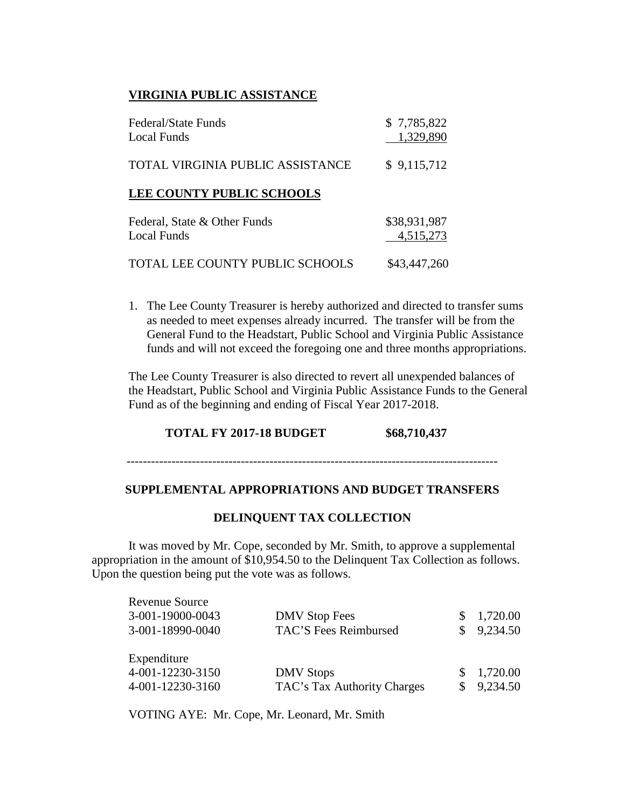# **VIRGINIA PUBLIC ASSISTANCE**

| Federal/State Funds<br>Local Funds                 | \$7,785,822<br>1,329,890  |
|----------------------------------------------------|---------------------------|
| TOTAL VIRGINIA PUBLIC ASSISTANCE                   | \$9,115,712               |
| <b>LEE COUNTY PUBLIC SCHOOLS</b>                   |                           |
| Federal, State & Other Funds<br><b>Local Funds</b> | \$38,931,987<br>4,515,273 |
| TOTAL LEE COUNTY PUBLIC SCHOOLS                    | \$43,447,260              |

1. The Lee County Treasurer is hereby authorized and directed to transfer sums as needed to meet expenses already incurred. The transfer will be from the General Fund to the Headstart, Public School and Virginia Public Assistance funds and will not exceed the foregoing one and three months appropriations.

The Lee County Treasurer is also directed to revert all unexpended balances of the Headstart, Public School and Virginia Public Assistance Funds to the General Fund as of the beginning and ending of Fiscal Year 2017-2018.

## **TOTAL FY 2017-18 BUDGET \$68,710,437**

### -------------------------------------------------------------------------------------------

#### **SUPPLEMENTAL APPROPRIATIONS AND BUDGET TRANSFERS**

#### **DELINQUENT TAX COLLECTION**

It was moved by Mr. Cope, seconded by Mr. Smith, to approve a supplemental appropriation in the amount of \$10,954.50 to the Delinquent Tax Collection as follows. Upon the question being put the vote was as follows.

| Revenue Source<br>3-001-19000-0043<br>3-001-18990-0040 | <b>DMV</b> Stop Fees<br>TAC'S Fees Reimbursed   | 1,720.00<br>9,234.50 |
|--------------------------------------------------------|-------------------------------------------------|----------------------|
| Expenditure<br>4-001-12230-3150<br>4-001-12230-3160    | <b>DMV</b> Stops<br>TAC's Tax Authority Charges | 1,720.00<br>9,234.50 |

VOTING AYE: Mr. Cope, Mr. Leonard, Mr. Smith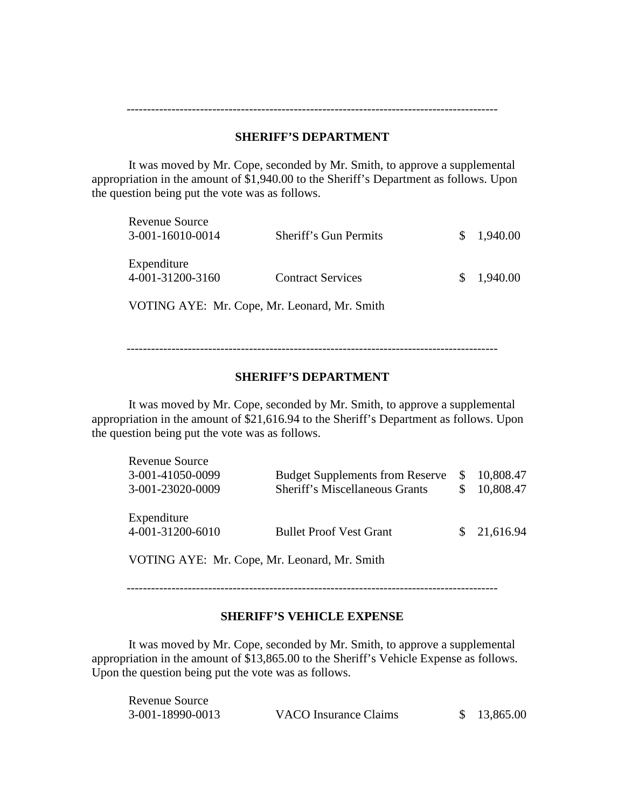### **SHERIFF'S DEPARTMENT**

-------------------------------------------------------------------------------------------

It was moved by Mr. Cope, seconded by Mr. Smith, to approve a supplemental appropriation in the amount of \$1,940.00 to the Sheriff's Department as follows. Upon the question being put the vote was as follows.

| <b>Revenue Source</b><br>3-001-16010-0014 | Sheriff's Gun Permits    | \$1,940.00 |
|-------------------------------------------|--------------------------|------------|
| Expenditure<br>4-001-31200-3160           | <b>Contract Services</b> | \$1,940.00 |

VOTING AYE: Mr. Cope, Mr. Leonard, Mr. Smith

-------------------------------------------------------------------------------------------

## **SHERIFF'S DEPARTMENT**

It was moved by Mr. Cope, seconded by Mr. Smith, to approve a supplemental appropriation in the amount of \$21,616.94 to the Sheriff's Department as follows. Upon the question being put the vote was as follows.

| Revenue Source                  |                                        |     |             |
|---------------------------------|----------------------------------------|-----|-------------|
| 3-001-41050-0099                | <b>Budget Supplements from Reserve</b> | \$. | 10,808.47   |
| 3-001-23020-0009                | <b>Sheriff's Miscellaneous Grants</b>  |     | 10,808.47   |
| Expenditure<br>4-001-31200-6010 | <b>Bullet Proof Vest Grant</b>         |     | \$21,616.94 |

VOTING AYE: Mr. Cope, Mr. Leonard, Mr. Smith

-------------------------------------------------------------------------------------------

#### **SHERIFF'S VEHICLE EXPENSE**

It was moved by Mr. Cope, seconded by Mr. Smith, to approve a supplemental appropriation in the amount of \$13,865.00 to the Sheriff's Vehicle Expense as follows. Upon the question being put the vote was as follows.

| Revenue Source   |                       |             |
|------------------|-----------------------|-------------|
| 3-001-18990-0013 | VACO Insurance Claims | \$13,865.00 |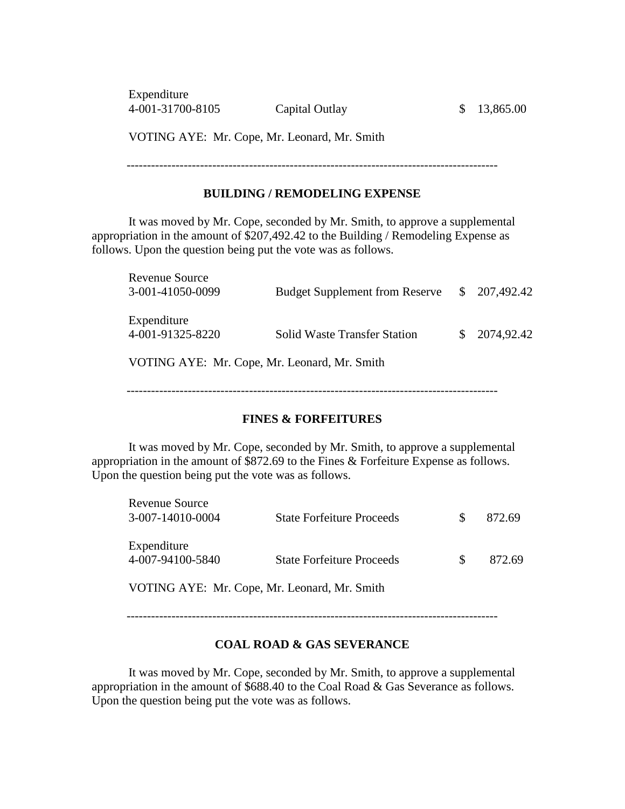Expenditure 4-001-31700-8105 Capital Outlay \$ 13,865.00

VOTING AYE: Mr. Cope, Mr. Leonard, Mr. Smith

-------------------------------------------------------------------------------------------

# **BUILDING / REMODELING EXPENSE**

It was moved by Mr. Cope, seconded by Mr. Smith, to approve a supplemental appropriation in the amount of \$207,492.42 to the Building / Remodeling Expense as follows. Upon the question being put the vote was as follows.

| Revenue Source<br>3-001-41050-0099           | <b>Budget Supplement from Reserve</b> |  | $\frac{$207,492.42}{}$ |  |
|----------------------------------------------|---------------------------------------|--|------------------------|--|
| Expenditure<br>4-001-91325-8220              | <b>Solid Waste Transfer Station</b>   |  | 2074,92.42             |  |
| VOTING AYE: Mr. Cope, Mr. Leonard, Mr. Smith |                                       |  |                        |  |
|                                              |                                       |  |                        |  |

#### **FINES & FORFEITURES**

It was moved by Mr. Cope, seconded by Mr. Smith, to approve a supplemental appropriation in the amount of \$872.69 to the Fines & Forfeiture Expense as follows. Upon the question being put the vote was as follows.

| Revenue Source<br>3-007-14010-0004 | <b>State Forfeiture Proceeds</b> | Ж | 872.69 |
|------------------------------------|----------------------------------|---|--------|
| Expenditure<br>4-007-94100-5840    | <b>State Forfeiture Proceeds</b> |   | 872.69 |
|                                    |                                  |   |        |

VOTING AYE: Mr. Cope, Mr. Leonard, Mr. Smith

#### **COAL ROAD & GAS SEVERANCE**

It was moved by Mr. Cope, seconded by Mr. Smith, to approve a supplemental appropriation in the amount of \$688.40 to the Coal Road & Gas Severance as follows. Upon the question being put the vote was as follows.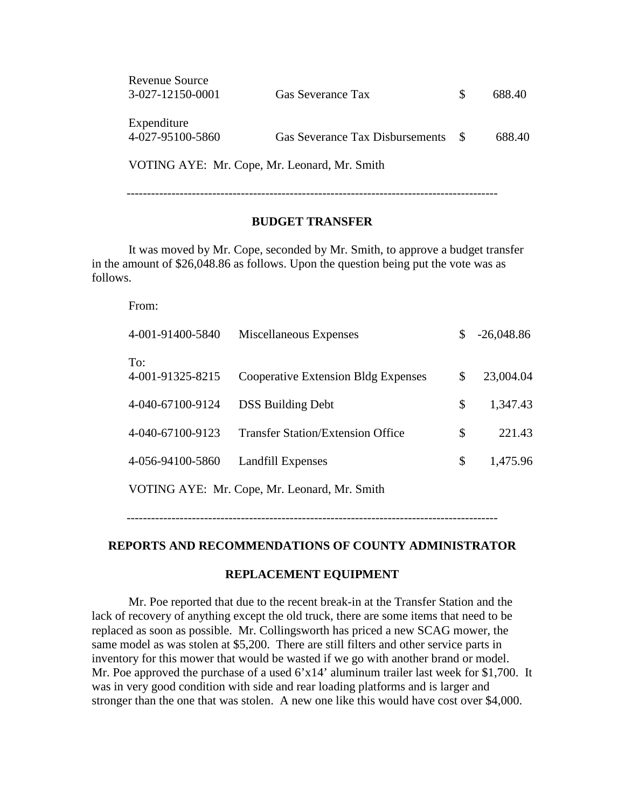| <b>Revenue Source</b>                        |                          |     |        |
|----------------------------------------------|--------------------------|-----|--------|
| 3-027-12150-0001                             | <b>Gas Severance Tax</b> | SS. | 688.40 |
|                                              |                          |     |        |
| Expenditure                                  |                          |     |        |
| 4-027-95100-5860                             |                          |     | 688.40 |
|                                              |                          |     |        |
| VOTING AYE: Mr. Cope, Mr. Leonard, Mr. Smith |                          |     |        |

-------------------------------------------------------------------------------------------

### **BUDGET TRANSFER**

It was moved by Mr. Cope, seconded by Mr. Smith, to approve a budget transfer in the amount of \$26,048.86 as follows. Upon the question being put the vote was as follows.

From:

| 4-001-91400-5840        | Miscellaneous Expenses                       | \$. | $-26,048.86$ |
|-------------------------|----------------------------------------------|-----|--------------|
| To:<br>4-001-91325-8215 | <b>Cooperative Extension Bldg Expenses</b>   | \$  | 23,004.04    |
| 4-040-67100-9124        | <b>DSS Building Debt</b>                     | \$  | 1,347.43     |
| 4-040-67100-9123        | <b>Transfer Station/Extension Office</b>     | \$  | 221.43       |
| 4-056-94100-5860        | Landfill Expenses                            | \$  | 1,475.96     |
|                         | VOTING AYE: Mr. Cope, Mr. Leonard, Mr. Smith |     |              |

-------------------------------------------------------------------------------------------

## **REPORTS AND RECOMMENDATIONS OF COUNTY ADMINISTRATOR**

### **REPLACEMENT EQUIPMENT**

Mr. Poe reported that due to the recent break-in at the Transfer Station and the lack of recovery of anything except the old truck, there are some items that need to be replaced as soon as possible. Mr. Collingsworth has priced a new SCAG mower, the same model as was stolen at \$5,200. There are still filters and other service parts in inventory for this mower that would be wasted if we go with another brand or model. Mr. Poe approved the purchase of a used  $6'x14'$  aluminum trailer last week for \$1,700. It was in very good condition with side and rear loading platforms and is larger and stronger than the one that was stolen. A new one like this would have cost over \$4,000.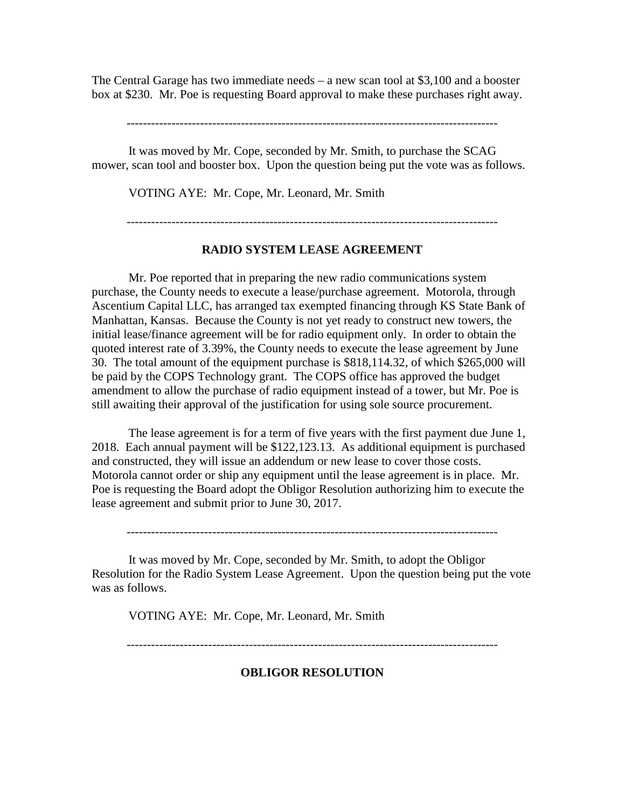The Central Garage has two immediate needs – a new scan tool at \$3,100 and a booster box at \$230. Mr. Poe is requesting Board approval to make these purchases right away.

-------------------------------------------------------------------------------------------

It was moved by Mr. Cope, seconded by Mr. Smith, to purchase the SCAG mower, scan tool and booster box. Upon the question being put the vote was as follows.

VOTING AYE: Mr. Cope, Mr. Leonard, Mr. Smith

-------------------------------------------------------------------------------------------

### **RADIO SYSTEM LEASE AGREEMENT**

Mr. Poe reported that in preparing the new radio communications system purchase, the County needs to execute a lease/purchase agreement. Motorola, through Ascentium Capital LLC, has arranged tax exempted financing through KS State Bank of Manhattan, Kansas. Because the County is not yet ready to construct new towers, the initial lease/finance agreement will be for radio equipment only. In order to obtain the quoted interest rate of 3.39%, the County needs to execute the lease agreement by June 30. The total amount of the equipment purchase is \$818,114.32, of which \$265,000 will be paid by the COPS Technology grant. The COPS office has approved the budget amendment to allow the purchase of radio equipment instead of a tower, but Mr. Poe is still awaiting their approval of the justification for using sole source procurement.

The lease agreement is for a term of five years with the first payment due June 1, 2018. Each annual payment will be \$122,123.13. As additional equipment is purchased and constructed, they will issue an addendum or new lease to cover those costs. Motorola cannot order or ship any equipment until the lease agreement is in place. Mr. Poe is requesting the Board adopt the Obligor Resolution authorizing him to execute the lease agreement and submit prior to June 30, 2017.

It was moved by Mr. Cope, seconded by Mr. Smith, to adopt the Obligor Resolution for the Radio System Lease Agreement. Upon the question being put the vote was as follows.

VOTING AYE: Mr. Cope, Mr. Leonard, Mr. Smith

-------------------------------------------------------------------------------------------

## **OBLIGOR RESOLUTION**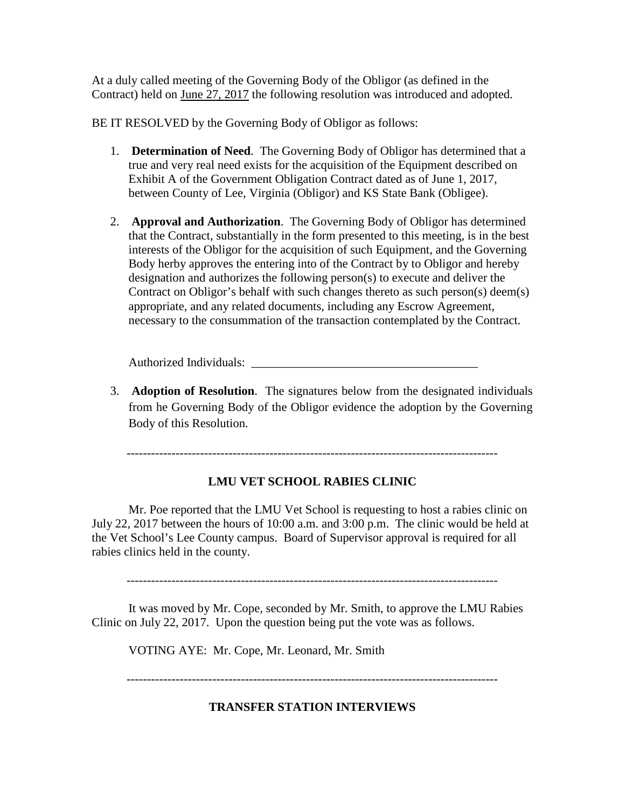At a duly called meeting of the Governing Body of the Obligor (as defined in the Contract) held on June 27, 2017 the following resolution was introduced and adopted.

BE IT RESOLVED by the Governing Body of Obligor as follows:

- 1. **Determination of Need**. The Governing Body of Obligor has determined that a true and very real need exists for the acquisition of the Equipment described on Exhibit A of the Government Obligation Contract dated as of June 1, 2017, between County of Lee, Virginia (Obligor) and KS State Bank (Obligee).
- 2. **Approval and Authorization**. The Governing Body of Obligor has determined that the Contract, substantially in the form presented to this meeting, is in the best interests of the Obligor for the acquisition of such Equipment, and the Governing Body herby approves the entering into of the Contract by to Obligor and hereby designation and authorizes the following person(s) to execute and deliver the Contract on Obligor's behalf with such changes thereto as such person(s) deem(s) appropriate, and any related documents, including any Escrow Agreement, necessary to the consummation of the transaction contemplated by the Contract.

Authorized Individuals:

3. **Adoption of Resolution**. The signatures below from the designated individuals from he Governing Body of the Obligor evidence the adoption by the Governing Body of this Resolution.

-------------------------------------------------------------------------------------------

# **LMU VET SCHOOL RABIES CLINIC**

Mr. Poe reported that the LMU Vet School is requesting to host a rabies clinic on July 22, 2017 between the hours of 10:00 a.m. and 3:00 p.m. The clinic would be held at the Vet School's Lee County campus. Board of Supervisor approval is required for all rabies clinics held in the county.

-------------------------------------------------------------------------------------------

It was moved by Mr. Cope, seconded by Mr. Smith, to approve the LMU Rabies Clinic on July 22, 2017. Upon the question being put the vote was as follows.

VOTING AYE: Mr. Cope, Mr. Leonard, Mr. Smith

-------------------------------------------------------------------------------------------

# **TRANSFER STATION INTERVIEWS**